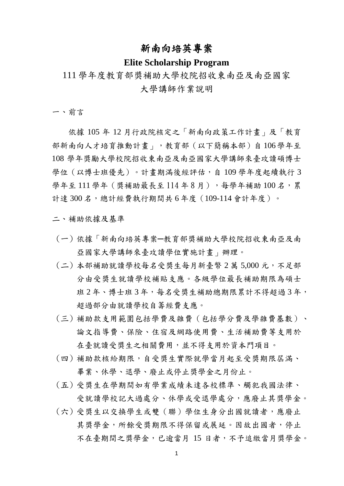#### 新南向培英專案

#### **Elite Scholarship Program**

### 111 學年度教育部獎補助大學校院招收東南亞及南亞國家 大學講師作業說明

一、前言

依據 105 年 12 月行政院核定之「新南向政策工作計畫」及「教育 部新南向人才培育推動計畫」,教育部(以下簡稱本部)自 106學年至 108 學年獎勵大學校院招收東南亞及南亞國家大學講師來臺攻讀碩博士 學位 ( 以博士班優先 ) 。計書期滿後經評估, 自 109 學年度起續執行 3 學年至 111 學年 ( 獎補助最長至 114 年 8 月), 每學年補助 100 名, 累 計達 300 名,總計經費執行期間共 6 年度 (109-114 會計年度)。

二、補助依據及基準

- (一) 依據「新南向培英專案─教育部獎補助大學校院招收東南亞及南 亞國家大學講師來臺攻讀學位實施計畫」辦理。
- (二) 本部補助就讀學校每名受獎生每月新臺幣 2 萬 5,000 元,不足部 分由受獎生就讀學校補貼支應。各級學位最長補助期限為碩士 班 2 年、博士班 3 年, 每名受獎生補助總期限累計不得超過 3 年, 超過部分由就讀學校自籌經費支應。
- (三) 補助款支用範圍包括學費及雜費(包括學分費及學雜費基數)、 論文指導費、保險、住宿及網路使用費、生活補助費等支用於 在臺就讀受獎生之相關費用,並不得支用於資本門項目。
- (四) 補助款核給期限,自受獎生實際就學當月起至受獎期限屆滿、 畢業、休學、退學、廢止或停止獎學金之月份止。
- (五) 受獎生在學期間如有學業成績未達各校標準、觸犯我國法律、 受就讀學校記大過處分、休學或受退學處分,應廢止其獎學金。
- (六) 受獎生以交換學生或雙(聯)學位生身分出國就讀者,應廢止 其獎學金,所餘受獎期限不得保留或展延。因故出國者,停止 不在臺期間之獎學金,已逾當月 15 日者,不予追繳當月獎學金。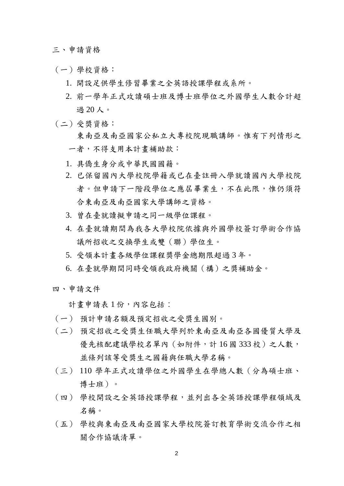三、申請資格

- (一)學校資格:
	- 1. 開設足供學生修習畢業之全英語授課學程或系所。
	- 2. 前一學年正式攻讀碩士班及博士班學位之外國學生人數合計超 過 20 人。
- (二)受獎資格:

東南亞及南亞國家公私立大專校院現職講師。惟有下列情形之 一者,不得支用本計畫補助款:

- 1. 具僑生身分或中華民國國籍。
- 2. 已保留國內大學校院學籍或已在臺註冊入學就讀國內大學校院 者。但申請下一階段學位之應屆畢業生,不在此限,惟仍須符 合東南亞及南亞國家大學講師之資格。
- 3. 曾在臺就讀擬申請之同一級學位課程。
- 4. 在臺就讀期間為我各大學校院依據與外國學校簽訂學術合作協 議所招收之交換學生或雙(聯)學位生。
- 5. 受領本計畫各級學位課程獎學金總期限超過 3 年。
- 6. 在臺就學期間同時受領我政府機關(構)之獎補助金。

四、申請文件

計書申請表 1 份,內容包括:

- (一) 預計申請名額及預定招收之受獎生國別。
- (二) 預定招收之受獎生任職大學列於東南亞及南亞各國優質大學及 優先核配建議學校名單內(如附件,計16國333校)之人數, 並條列該等受獎生之國籍與任職大學名稱。
- (三) 110 學年正式攻讀學位之外國學生在學總人數(分為碩士班、 博士班)。
- (四) 學校開設之全英語授課學程,並列出各全英語授課學程領域及 名稱。
- (五) 學校與東南亞及南亞國家大學校院簽訂教育學術交流合作之相 關合作協議清單。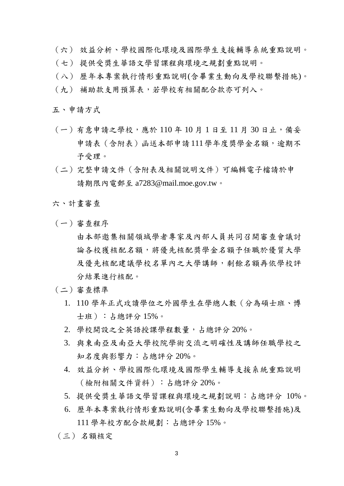- (六) 效益分析、學校國際化環境及國際學生支援輔導系統重點說明。
- (七) 提供受獎生華語文學習課程與環境之規劃重點說明。
- (八) 歷年本專案執行情形重點說明(含畢業生動向及學校聯繫措施)。 (九) 補助款支用預算表,若學校有相關配合款亦可列入。

五、申請方式

- (一)有意申請之學校,應於 110 年 10 月 1 日至 11 月 30 日止,備妥 申請表(含附表)函送本部申請111學年度獎學金名額,逾期不 予受理。
- (二)完整申請文件(含附表及相關說明文件)可編輯電子[檔請於申](mailto:請於申請期限內電郵至a7283@mail.moe.gov.tw) 請期限內電郵至 [a7283@mail.moe.gov.tw](mailto:請於申請期限內電郵至a7283@mail.moe.gov.tw)。
- 六、計畫審查
- (一)審查程序
	- 由本部邀集相關領域學者專家及內部人員共同召開審查會議討 論各校獲核配名額,將優先核配獎學金名額予任職於優質大學 及優先核配建議學校名單內之大學講師,剩餘名額再依學校評 分結果進行核配。
- (二)審查標準
	- 1. 110 學年正式攻讀學位之外國學生在學總人數(分為碩士班、博 士班):占總評分 15%。
	- 2. 學校開設之全英語授課學程數量,占總評分 20%。
	- 3. 與東南亞及南亞大學校院學術交流之明確性及講師任職學校之 知名度與影響力:占總評分 20%。
	- 4. 效益分析、學校國際化環境及國際學生輔導支援系統重點說明 (檢附相關文件資料):占總評分 20%。
	- 5. 提供受獎生華語文學習課程與環境之規劃說明:占總評分 10%。
	- 6. 歷年本專案執行情形重點說明(含畢業生動向及學校聯繫措施)及 111 學年校方配合款規劃:占總評分 15%。
- (三) 名額核定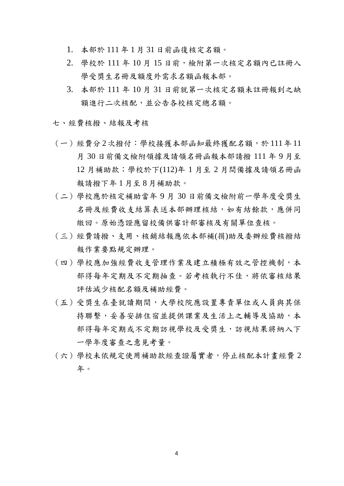- 1. 本部於 111 年 1 月 31 日前函復核定名額。
- $2.$  學校於  $111$  年  $10$  月  $15$  日前,檢附第一次核定名額內已註冊入 學受獎生名冊及額度外需求名額函報本部。
- 3. 本部於 111 年 10 月 31 日前就第一次核定名額未註冊報到之缺 額進行二次核配,並公告各校核定總名額。
- 七、經費核撥、結報及考核
- (一)經費分 2次撥付:學校接獲本部函知最終獲配名額,於 111年 11 月 30 日前備文檢附領據及請領名冊函報本部請撥 111 年 9 月至 12 月補助款;學校於下(112)年 1 月至 2 月間備據及請領名冊函 報請撥下年 1 月至 8 月補助款。
- (二)學校應於核定補助當年 9 月 30 日前備文檢附前一學年度受獎生 名冊及經費收支結算表送本部辦理核結,如有結餘款,應併同 繳回。原始憑證應留校備供審計部審核及有關單位查核。
- (三)經費請撥、支用、核銷結報應依本部補(捐)助及委辦經費核撥結 報作業要點規定辦理。
- (四)學校應加強經費收支管理作業及建立積極有效之管控機制,本 部得每年定期及不定期抽查。若考核執行不佳,將依審核結果 評估減少核配名額及補助經費。
- (五)受獎生在臺就讀期間,大學校院應設置專責單位或人員與其保 持聯繫,妥善安排住宿並提供課業及生活上之輔導及協助,本 部得每年定期或不定期訪視學校及受獎生,訪視結果將納入下 一學年度審查之意見考量。
- (六)學校未依規定使用補助款經查證屬實者,停止核配本計畫經費 2 年。

4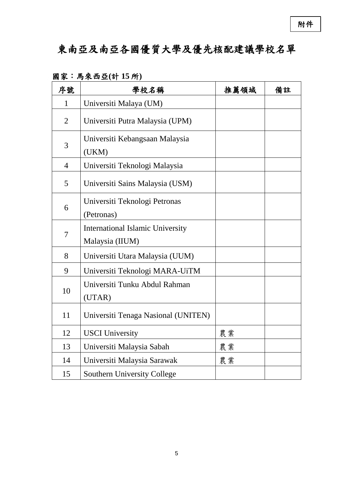# 東南亞及南亞各國優質大學及優先核配建議學校名單

| 序號             | 學校名稱                                                       | 推薦領域 | 備註 |
|----------------|------------------------------------------------------------|------|----|
| 1              | Universiti Malaya (UM)                                     |      |    |
| $\overline{2}$ | Universiti Putra Malaysia (UPM)                            |      |    |
| 3              | Universiti Kebangsaan Malaysia<br>(UKM)                    |      |    |
| $\overline{4}$ | Universiti Teknologi Malaysia                              |      |    |
| 5              | Universiti Sains Malaysia (USM)                            |      |    |
| 6              | Universiti Teknologi Petronas<br>(Petronas)                |      |    |
| $\overline{7}$ | <b>International Islamic University</b><br>Malaysia (IIUM) |      |    |
| 8              | Universiti Utara Malaysia (UUM)                            |      |    |
| 9              | Universiti Teknologi MARA-UiTM                             |      |    |
| 10             | Universiti Tunku Abdul Rahman<br>(UTAR)                    |      |    |
| 11             | Universiti Tenaga Nasional (UNITEN)                        |      |    |
| 12             | <b>USCI</b> University                                     | 農業   |    |
| 13             | Universiti Malaysia Sabah                                  | 農業   |    |
| 14             | Universiti Malaysia Sarawak                                | 農業   |    |
| 15             | Southern University College                                |      |    |

國家:馬來西亞**(**計 **15** 所**)**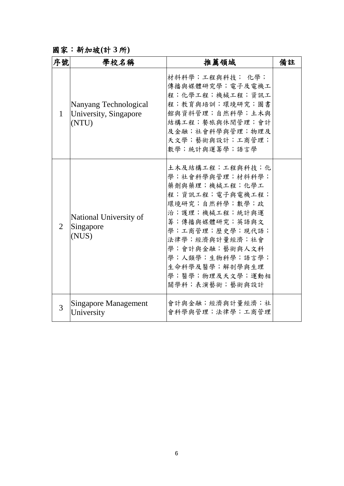## 國家:新加坡**(**計 **3** 所**)**

| 序號           | 學校名稱                                                    | 推薦領域                                                                                                                                                                                                                                                           | 備註 |
|--------------|---------------------------------------------------------|----------------------------------------------------------------------------------------------------------------------------------------------------------------------------------------------------------------------------------------------------------------|----|
| $\mathbf{1}$ | Nanyang Technological<br>University, Singapore<br>(NTU) | 材料科學;工程與科技; 化學;<br>傳播與媒體研究學;電子及電機工<br>程;化學工程;機械工程;資訊工<br>程;教育與培訓;環境研究;圖書<br>館與資料管理;自然科學;土木與<br>結構工程;餐旅與休閒管理;會計<br>及金融;社會科學與管理;物理及<br>天文學;藝術與設計;工商管理;<br>數學;統計與運籌學;語言學                                                                                          |    |
| 2            | National University of<br>Singapore<br>(NUS)            | 土木及結構工程;工程與科技;化<br>學;社會科學與管理;材料科學;<br>藥劑與藥理;機械工程;化學工<br>程;資訊工程;電子與電機工程;<br>環境研究;自然科學;數學;政<br>治;護理;機械工程;統計與運<br>籌;傳播與媒體研究;英語與文<br>學;工商管理;歷史學;現代語;<br>法律學;經濟與計量經濟;社會<br>學;會計與金融;藝術與人文科<br>學;人類學;生物科學;語言學;<br>生命科學及醫學;解剖學與生理<br>學;醫學;物理及天文學;運動相<br>關學科;表演藝術;藝術與設計 |    |
| 3            | <b>Singapore Management</b><br>University               | 會計與金融;經濟與計量經濟;社<br>會科學與管理;法律學;工商管理                                                                                                                                                                                                                             |    |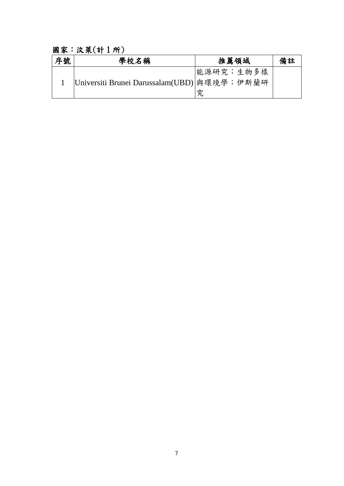## 國家:汶萊(計 1 所)

| 序號 | 學校名稱                                        | 推薦領域           | 備註 |
|----|---------------------------------------------|----------------|----|
|    | Universiti Brunei Darussalam(UBD) 與環境學;伊斯蘭研 | 能源研究;生物多樣<br>究 |    |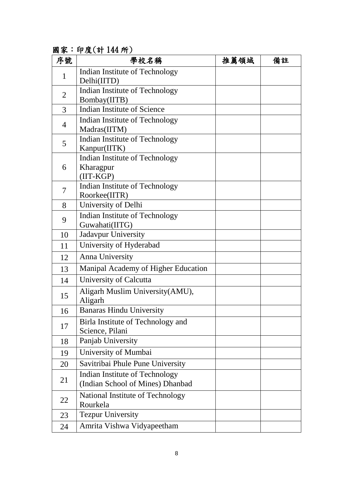國家:印度(計 144 所)

| 序號             | 學校名稱                                                  | 推薦領域 | 備註 |
|----------------|-------------------------------------------------------|------|----|
| $\mathbf{1}$   | Indian Institute of Technology                        |      |    |
|                | Delhi(IITD)                                           |      |    |
| $\overline{2}$ | Indian Institute of Technology                        |      |    |
|                | Bombay(IITB)                                          |      |    |
| 3              | <b>Indian Institute of Science</b>                    |      |    |
| 4              | Indian Institute of Technology                        |      |    |
|                | Madras(IITM)                                          |      |    |
| 5              | Indian Institute of Technology                        |      |    |
|                | Kanpur(IITK)<br><b>Indian Institute of Technology</b> |      |    |
| 6              | Kharagpur                                             |      |    |
|                | (IIT-KGP)                                             |      |    |
|                | <b>Indian Institute of Technology</b>                 |      |    |
| 7              | Roorkee(IITR)                                         |      |    |
| 8              | University of Delhi                                   |      |    |
| 9              | Indian Institute of Technology                        |      |    |
|                | Guwahati(IITG)                                        |      |    |
| 10             | <b>Jadavpur University</b>                            |      |    |
| 11             | University of Hyderabad                               |      |    |
| 12             | <b>Anna University</b>                                |      |    |
| 13             | Manipal Academy of Higher Education                   |      |    |
| 14             | University of Calcutta                                |      |    |
| 15             | Aligarh Muslim University (AMU),                      |      |    |
|                | Aligarh                                               |      |    |
| 16             | <b>Banaras Hindu University</b>                       |      |    |
| 17             | Birla Institute of Technology and                     |      |    |
|                | Science, Pilani                                       |      |    |
| 18             | Panjab University                                     |      |    |
| 19             | University of Mumbai                                  |      |    |
| 20             | Savitribai Phule Pune University                      |      |    |
|                | Indian Institute of Technology                        |      |    |
| 21             | (Indian School of Mines) Dhanbad                      |      |    |
| 22             | National Institute of Technology                      |      |    |
|                | Rourkela                                              |      |    |
| 23             | <b>Tezpur University</b>                              |      |    |
| 24             | Amrita Vishwa Vidyapeetham                            |      |    |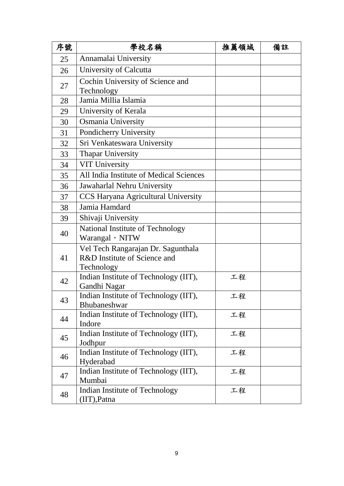| 序號 | 學校名稱                                                                             | 推薦領域 | 備註 |
|----|----------------------------------------------------------------------------------|------|----|
| 25 | Annamalai University                                                             |      |    |
| 26 | University of Calcutta                                                           |      |    |
| 27 | Cochin University of Science and<br>Technology                                   |      |    |
| 28 | Jamia Millia Islamia                                                             |      |    |
| 29 | University of Kerala                                                             |      |    |
| 30 | Osmania University                                                               |      |    |
| 31 | Pondicherry University                                                           |      |    |
| 32 | Sri Venkateswara University                                                      |      |    |
| 33 | <b>Thapar University</b>                                                         |      |    |
| 34 | <b>VIT University</b>                                                            |      |    |
| 35 | All India Institute of Medical Sciences                                          |      |    |
| 36 | Jawaharlal Nehru University                                                      |      |    |
| 37 | CCS Haryana Agricultural University                                              |      |    |
| 38 | Jamia Hamdard                                                                    |      |    |
| 39 | Shivaji University                                                               |      |    |
| 40 | National Institute of Technology<br>Warangal, NITW                               |      |    |
| 41 | Vel Tech Rangarajan Dr. Sagunthala<br>R&D Institute of Science and<br>Technology |      |    |
| 42 | Indian Institute of Technology (IIT),<br>Gandhi Nagar                            | 工程   |    |
| 43 | Indian Institute of Technology (IIT),<br>Bhubaneshwar                            | 工程   |    |
| 44 | Indian Institute of Technology (IIT),<br>Indore                                  | 工程   |    |
| 45 | Indian Institute of Technology (IIT),<br>Jodhpur                                 | 工程   |    |
| 46 | Indian Institute of Technology (IIT),<br>Hyderabad                               | 工程   |    |
| 47 | Indian Institute of Technology (IIT),<br>Mumbai                                  | 工程   |    |
| 48 | Indian Institute of Technology<br>$(III)$ , Patna                                | 工程   |    |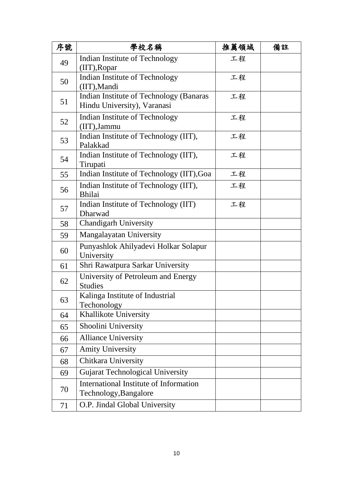| 序號 | 學校名稱                                                                   | 推薦領域 | 備註 |
|----|------------------------------------------------------------------------|------|----|
| 49 | Indian Institute of Technology<br>$(III)$ , Ropar                      | 工程   |    |
| 50 | Indian Institute of Technology<br>(IIT), Mandi                         | 工程   |    |
| 51 | Indian Institute of Technology (Banaras<br>Hindu University), Varanasi | 工程   |    |
| 52 | Indian Institute of Technology<br>(IIT), Jammu                         | 工程   |    |
| 53 | Indian Institute of Technology (IIT),<br>Palakkad                      | 工程   |    |
| 54 | Indian Institute of Technology (IIT),<br>Tirupati                      | 工程   |    |
| 55 | Indian Institute of Technology (IIT), Goa                              | 工程   |    |
| 56 | Indian Institute of Technology (IIT),<br><b>Bhilai</b>                 | 工程   |    |
| 57 | Indian Institute of Technology (IIT)<br>Dharwad                        | 工程   |    |
| 58 | <b>Chandigarh University</b>                                           |      |    |
| 59 | <b>Mangalayatan University</b>                                         |      |    |
| 60 | Punyashlok Ahilyadevi Holkar Solapur<br>University                     |      |    |
| 61 | Shri Rawatpura Sarkar University                                       |      |    |
| 62 | University of Petroleum and Energy<br><b>Studies</b>                   |      |    |
| 63 | Kalinga Institute of Industrial<br>Techonology                         |      |    |
| 64 | Khallikote University                                                  |      |    |
| 65 | Shoolini University                                                    |      |    |
| 66 | <b>Alliance University</b>                                             |      |    |
| 67 | <b>Amity University</b>                                                |      |    |
| 68 | Chitkara University                                                    |      |    |
| 69 | <b>Gujarat Technological University</b>                                |      |    |
| 70 | International Institute of Information<br>Technology, Bangalore        |      |    |
| 71 | O.P. Jindal Global University                                          |      |    |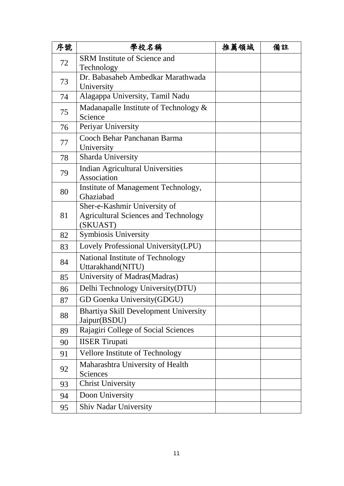| 序號 | 學校名稱                                         | 推薦領域 | 備註 |
|----|----------------------------------------------|------|----|
| 72 | <b>SRM</b> Institute of Science and          |      |    |
|    | Technology                                   |      |    |
| 73 | Dr. Babasaheb Ambedkar Marathwada            |      |    |
|    | University                                   |      |    |
| 74 | Alagappa University, Tamil Nadu              |      |    |
| 75 | Madanapalle Institute of Technology &        |      |    |
|    | Science                                      |      |    |
| 76 | Periyar University                           |      |    |
| 77 | Cooch Behar Panchanan Barma<br>University    |      |    |
| 78 | Sharda University                            |      |    |
|    | <b>Indian Agricultural Universities</b>      |      |    |
| 79 | Association                                  |      |    |
|    | Institute of Management Technology,          |      |    |
| 80 | Ghaziabad                                    |      |    |
|    | Sher-e-Kashmir University of                 |      |    |
| 81 | <b>Agricultural Sciences and Technology</b>  |      |    |
|    | (SKUAST)                                     |      |    |
| 82 | Symbiosis University                         |      |    |
| 83 | Lovely Professional University(LPU)          |      |    |
| 84 | National Institute of Technology             |      |    |
|    | Uttarakhand(NITU)                            |      |    |
| 85 | University of Madras(Madras)                 |      |    |
| 86 | Delhi Technology University (DTU)            |      |    |
| 87 | GD Goenka University(GDGU)                   |      |    |
| 88 | <b>Bhartiya Skill Development University</b> |      |    |
|    | Jaipur(BSDU)                                 |      |    |
| 89 | Rajagiri College of Social Sciences          |      |    |
| 90 | <b>IISER</b> Tirupati                        |      |    |
| 91 | Vellore Institute of Technology              |      |    |
| 92 | Maharashtra University of Health             |      |    |
|    | Sciences                                     |      |    |
| 93 | <b>Christ University</b>                     |      |    |
| 94 | Doon University                              |      |    |
| 95 | <b>Shiv Nadar University</b>                 |      |    |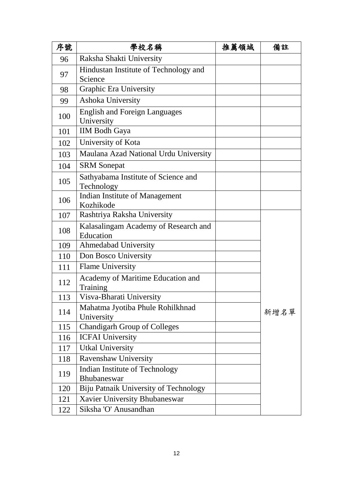| 序號  | 學校名稱                                                 | 推薦領域 | 備註   |
|-----|------------------------------------------------------|------|------|
| 96  | Raksha Shakti University                             |      |      |
| 97  | Hindustan Institute of Technology and                |      |      |
|     | Science                                              |      |      |
| 98  | Graphic Era University                               |      |      |
| 99  | Ashoka University                                    |      |      |
| 100 | <b>English and Foreign Languages</b><br>University   |      |      |
| 101 | <b>IIM Bodh Gaya</b>                                 |      |      |
| 102 | University of Kota                                   |      |      |
| 103 | Maulana Azad National Urdu University                |      |      |
| 104 | <b>SRM</b> Sonepat                                   |      |      |
| 105 | Sathyabama Institute of Science and<br>Technology    |      |      |
| 106 | Indian Institute of Management<br>Kozhikode          |      |      |
| 107 | Rashtriya Raksha University                          |      |      |
| 108 | Kalasalingam Academy of Research and<br>Education    |      |      |
| 109 | <b>Ahmedabad University</b>                          |      |      |
| 110 | Don Bosco University                                 |      |      |
| 111 | <b>Flame University</b>                              |      |      |
| 112 | Academy of Maritime Education and<br>Training        |      |      |
| 113 | Visva-Bharati University                             |      |      |
| 114 | Mahatma Jyotiba Phule Rohilkhnad<br>University       |      | 新增名單 |
| 115 | <b>Chandigarh Group of Colleges</b>                  |      |      |
| 116 | <b>ICFAI University</b>                              |      |      |
| 117 | <b>Utkal University</b>                              |      |      |
| 118 | <b>Ravenshaw University</b>                          |      |      |
| 119 | Indian Institute of Technology<br><b>Bhubaneswar</b> |      |      |
| 120 | Biju Patnaik University of Technology                |      |      |
| 121 | Xavier University Bhubaneswar                        |      |      |
| 122 | Siksha 'O' Anusandhan                                |      |      |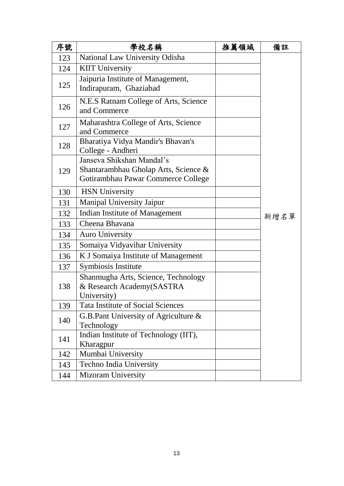| 序號  | 學校名稱                                                                                                    | 推薦領域 | 備註   |
|-----|---------------------------------------------------------------------------------------------------------|------|------|
| 123 | National Law University Odisha                                                                          |      |      |
| 124 | <b>KIIT University</b>                                                                                  |      |      |
| 125 | Jaipuria Institute of Management,<br>Indirapuram, Ghaziabad                                             |      |      |
|     |                                                                                                         |      |      |
| 126 | N.E.S Ratnam College of Arts, Science<br>and Commerce                                                   |      |      |
| 127 | Maharashtra College of Arts, Science<br>and Commerce                                                    |      |      |
| 128 | Bharatiya Vidya Mandir's Bhavan's<br>College - Andheri                                                  |      |      |
| 129 | Janseva Shikshan Mandal's<br>Shantarambhau Gholap Arts, Science &<br>Gotirambhau Pawar Commerce College |      |      |
| 130 | <b>HSN</b> University                                                                                   |      |      |
| 131 | <b>Manipal University Jaipur</b>                                                                        |      |      |
| 132 | <b>Indian Institute of Management</b>                                                                   |      | 新增名單 |
| 133 | Cheena Bhavana                                                                                          |      |      |
| 134 | <b>Auro University</b>                                                                                  |      |      |
| 135 | Somaiya Vidyavihar University                                                                           |      |      |
| 136 | K J Somaiya Institute of Management                                                                     |      |      |
| 137 | Symbiosis Institute                                                                                     |      |      |
| 138 | Shanmugha Arts, Science, Technology<br>& Research Academy(SASTRA<br>University)                         |      |      |
| 139 | <b>Tata Institute of Social Sciences</b>                                                                |      |      |
| 140 | G.B.Pant University of Agriculture $\&$<br>Technology                                                   |      |      |
| 141 | Indian Institute of Technology (IIT),<br>Kharagpur                                                      |      |      |
| 142 | Mumbai University                                                                                       |      |      |
| 143 | Techno India University                                                                                 |      |      |
| 144 | <b>Mizoram University</b>                                                                               |      |      |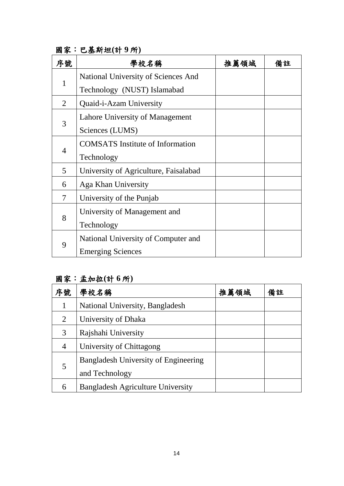| 序號             | 學校名稱                                    | 推薦領域 | 備註 |
|----------------|-----------------------------------------|------|----|
|                | National University of Sciences And     |      |    |
| 1              | Technology (NUST) Islamabad             |      |    |
| $\overline{2}$ | Quaid-i-Azam University                 |      |    |
|                | Lahore University of Management         |      |    |
| 3              | Sciences (LUMS)                         |      |    |
|                | <b>COMSATS</b> Institute of Information |      |    |
| 4              | Technology                              |      |    |
| 5              | University of Agriculture, Faisalabad   |      |    |
| 6              | Aga Khan University                     |      |    |
| 7              | University of the Punjab                |      |    |
| 8              | University of Management and            |      |    |
|                | Technology                              |      |    |
|                | National University of Computer and     |      |    |
| 9              | <b>Emerging Sciences</b>                |      |    |

國家:巴基斯坦**(**計 **9** 所**)**

#### 國家:孟加拉**(**計 **6** 所**)**

| 序號 | 學校名稱                                                          | 推薦領域 | 備註 |
|----|---------------------------------------------------------------|------|----|
|    | National University, Bangladesh                               |      |    |
| 2  | University of Dhaka                                           |      |    |
| 3  | Rajshahi University                                           |      |    |
| 4  | University of Chittagong                                      |      |    |
| 5  | <b>Bangladesh University of Engineering</b><br>and Technology |      |    |
| 6  | <b>Bangladesh Agriculture University</b>                      |      |    |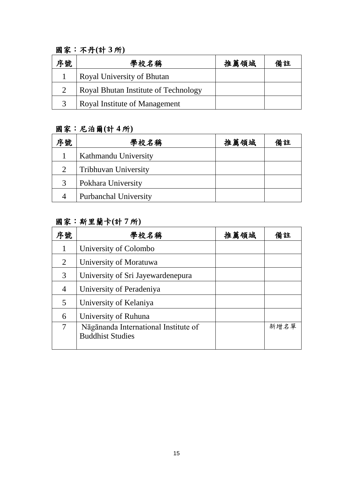### 國家:不丹**(**計 **3** 所**)**

| 序號 | 學校名稱                                 | 推薦領域 | 備註 |
|----|--------------------------------------|------|----|
|    | Royal University of Bhutan           |      |    |
|    | Royal Bhutan Institute of Technology |      |    |
|    | Royal Institute of Management        |      |    |

#### 國家:尼泊爾**(**計 **4** 所**)**

| 序號                          | 學校名稱                         | 推薦領域 | 備註 |
|-----------------------------|------------------------------|------|----|
|                             | Kathmandu University         |      |    |
| $\mathcal{D}_{\mathcal{L}}$ | <b>Tribhuvan University</b>  |      |    |
| 3                           | Pokhara University           |      |    |
|                             | <b>Purbanchal University</b> |      |    |

## 國家:斯里蘭卡**(**計 **7** 所**)**

| 序號             | 學校名稱                                                            | 推薦領域 | 備註   |
|----------------|-----------------------------------------------------------------|------|------|
|                | University of Colombo                                           |      |      |
| $\overline{2}$ | University of Moratuwa                                          |      |      |
| 3              | University of Sri Jayewardenepura                               |      |      |
| 4              | University of Peradeniya                                        |      |      |
| 5              | University of Kelaniya                                          |      |      |
| 6              | University of Ruhuna                                            |      |      |
| 7              | Nāgānanda International Institute of<br><b>Buddhist Studies</b> |      | 新增名單 |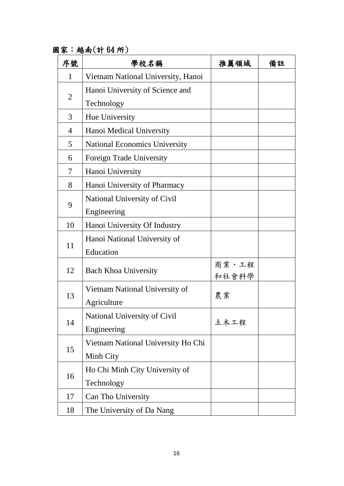國家:越南(計 64 所)

| 序號             | 學校名稱                                 | 推薦領域  | 備註 |
|----------------|--------------------------------------|-------|----|
| $\mathbf{1}$   | Vietnam National University, Hanoi   |       |    |
|                | Hanoi University of Science and      |       |    |
| $\overline{2}$ | Technology                           |       |    |
| 3              | Hue University                       |       |    |
| 4              | Hanoi Medical University             |       |    |
| 5              | <b>National Economics University</b> |       |    |
| 6              | Foreign Trade University             |       |    |
| 7              | Hanoi University                     |       |    |
| 8              | Hanoi University of Pharmacy         |       |    |
|                | National University of Civil         |       |    |
| 9              | Engineering                          |       |    |
| 10             | Hanoi University Of Industry         |       |    |
|                | Hanoi National University of         |       |    |
| 11             | Education                            |       |    |
| 12             | <b>Bach Khoa University</b>          | 商業、工程 |    |
|                |                                      | 和社會科學 |    |
| 13             | Vietnam National University of       | 農業    |    |
|                | Agriculture                          |       |    |
| 14             | National University of Civil         | 土木工程  |    |
|                | Engineering                          |       |    |
| 15             | Vietnam National University Ho Chi   |       |    |
|                | Minh City                            |       |    |
| 16             | Ho Chi Minh City University of       |       |    |
|                | Technology                           |       |    |
| 17             | Can Tho University                   |       |    |
| 18             | The University of Da Nang            |       |    |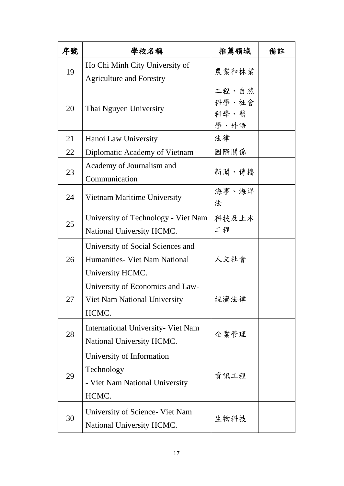| 序號 | 學校名稱                                                                                    | 推薦領域                           | 備註 |
|----|-----------------------------------------------------------------------------------------|--------------------------------|----|
| 19 | Ho Chi Minh City University of<br><b>Agriculture and Forestry</b>                       | 農業和林業                          |    |
| 20 | Thai Nguyen University                                                                  | 工程、自然<br>科學、社會<br>科學、醫<br>學、外語 |    |
| 21 | Hanoi Law University                                                                    | 法律                             |    |
| 22 | Diplomatic Academy of Vietnam                                                           | 國際關係                           |    |
| 23 | Academy of Journalism and<br>Communication                                              | 新聞、傳播                          |    |
| 24 | Vietnam Maritime University                                                             | 海事、海洋<br>法                     |    |
| 25 | University of Technology - Viet Nam<br>National University HCMC.                        | 科技及土木<br>工程                    |    |
| 26 | University of Social Sciences and<br>Humanities - Viet Nam National<br>University HCMC. | 人文社會                           |    |
| 27 | University of Economics and Law-<br>Viet Nam National University<br>HCMC.               | 經濟法律                           |    |
| 28 | International University- Viet Nam<br>National University HCMC.                         | 企業管理                           |    |
| 29 | University of Information<br>Technology<br>- Viet Nam National University<br>HCMC.      | 資訊工程                           |    |
| 30 | University of Science- Viet Nam<br>National University HCMC.                            | 生物科技                           |    |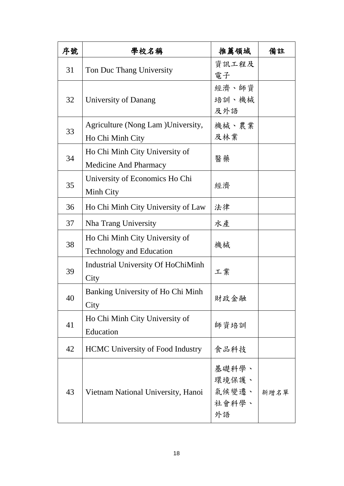| 序號 | 學校名稱                                                              | 推薦領域                                   | 備註   |
|----|-------------------------------------------------------------------|----------------------------------------|------|
| 31 | Ton Duc Thang University                                          | 資訊工程及<br>電子                            |      |
| 32 | University of Danang                                              | 經濟、師資<br>培訓、機械<br>及外語                  |      |
| 33 | Agriculture (Nong Lam) University,<br>Ho Chi Minh City            | 機械、農業<br>及林業                           |      |
| 34 | Ho Chi Minh City University of<br><b>Medicine And Pharmacy</b>    | 醫藥                                     |      |
| 35 | University of Economics Ho Chi<br>Minh City                       | 經濟                                     |      |
| 36 | Ho Chi Minh City University of Law                                | 法律                                     |      |
| 37 | Nha Trang University                                              | 水產                                     |      |
| 38 | Ho Chi Minh City University of<br><b>Technology and Education</b> | 機械                                     |      |
| 39 | <b>Industrial University Of HoChiMinh</b><br>City                 | 工業                                     |      |
| 40 | Banking University of Ho Chi Minh<br>City                         | 財政金融                                   |      |
| 41 | Ho Chi Minh City University of<br>Education                       | 師資培訓                                   |      |
| 42 | <b>HCMC</b> University of Food Industry                           | 食品科技                                   |      |
| 43 | Vietnam National University, Hanoi                                | 基礎科學、<br>環境保護、<br>氣候變遷、<br>社會科學、<br>外語 | 新增名單 |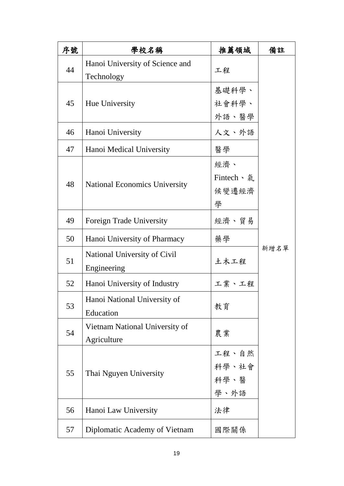| 序號 | 學校名稱                                 | 推薦領域       | 備註   |
|----|--------------------------------------|------------|------|
| 44 | Hanoi University of Science and      | 工程         |      |
|    | Technology                           |            |      |
|    |                                      | 基礎科學、      |      |
| 45 | Hue University                       | 社會科學、      |      |
|    |                                      | 外語、醫學      |      |
| 46 | Hanoi University                     | 人文、外語      |      |
| 47 | Hanoi Medical University             | 醫學         |      |
|    |                                      | 經濟、        |      |
|    |                                      | Fintech、 氣 |      |
| 48 | <b>National Economics University</b> | 候變遷經濟      |      |
|    |                                      | 學          |      |
| 49 | Foreign Trade University             | 經濟、貿易      |      |
| 50 | Hanoi University of Pharmacy         | 藥學         |      |
| 51 | National University of Civil         | 土木工程       | 新增名單 |
|    | Engineering                          |            |      |
| 52 | Hanoi University of Industry         | 工業、工程      |      |
| 53 | Hanoi National University of         |            |      |
|    | Education                            | 教育         |      |
| 54 | Vietnam National University of       | 農業         |      |
|    | Agriculture                          |            |      |
|    |                                      | 工程、自然      |      |
| 55 | Thai Nguyen University               | 科學、社會      |      |
|    |                                      | 科學、醫       |      |
|    |                                      | 學、外語       |      |
| 56 | Hanoi Law University                 | 法律         |      |
| 57 | Diplomatic Academy of Vietnam        | 國際關係       |      |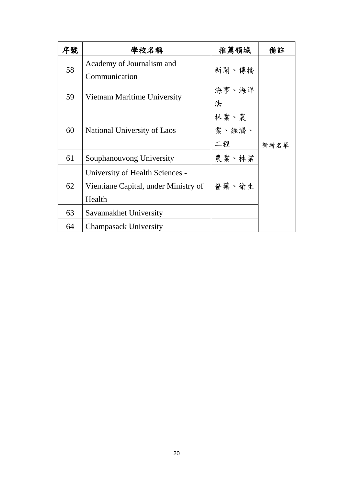| 序號 | 學校名稱                                 | 推薦領域  | 備註   |
|----|--------------------------------------|-------|------|
| 58 | Academy of Journalism and            | 新聞、傳播 |      |
|    | Communication                        |       |      |
| 59 | Vietnam Maritime University          | 海事、海洋 |      |
|    |                                      | 法     |      |
|    |                                      | 林業、農  |      |
| 60 | National University of Laos          | 業、經濟、 |      |
|    |                                      | 工程    | 新增名單 |
| 61 | Souphanouvong University             | 農業、林業 |      |
|    | University of Health Sciences -      |       |      |
| 62 | Vientiane Capital, under Ministry of | 醫藥、衛生 |      |
|    | Health                               |       |      |
| 63 | Savannakhet University               |       |      |
| 64 | <b>Champasack University</b>         |       |      |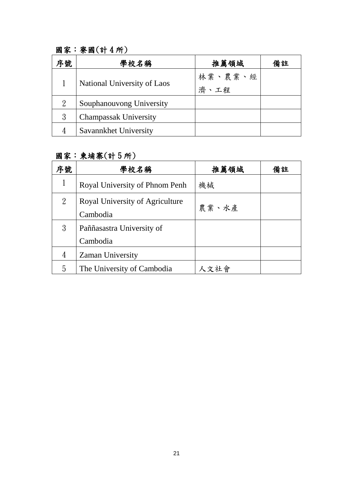## 國家:寮國(計 4 所)

| 序號 | 學校名稱                         | 推薦領域            | 備註 |
|----|------------------------------|-----------------|----|
|    | National University of Laos  | 林業、農業、經<br>濟、工程 |    |
| 2  | Souphanouvong University     |                 |    |
| 3  | <b>Champassak University</b> |                 |    |
|    | Savannkhet University        |                 |    |

#### 國家:柬埔寨(計 5 所)

| 序號 | 學校名稱                            | 推薦領域  | 備註 |
|----|---------------------------------|-------|----|
|    | Royal University of Phnom Penh  | 機械    |    |
| 2  | Royal University of Agriculture |       |    |
|    | Cambodia                        | 農業、水產 |    |
| 3  | Paññasastra University of       |       |    |
|    | Cambodia                        |       |    |
| 4  | <b>Zaman University</b>         |       |    |
| 5  | The University of Cambodia      | 人文社會  |    |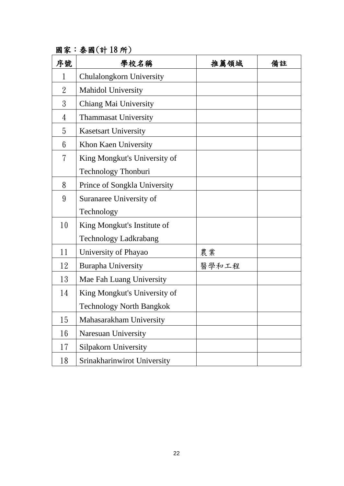| 序號             | 學校名稱                            | 推薦領域  | 備註 |
|----------------|---------------------------------|-------|----|
| 1              | Chulalongkorn University        |       |    |
| $\overline{2}$ | <b>Mahidol University</b>       |       |    |
| 3              | Chiang Mai University           |       |    |
| 4              | <b>Thammasat University</b>     |       |    |
| 5              | <b>Kasetsart University</b>     |       |    |
| 6              | Khon Kaen University            |       |    |
| 7              | King Mongkut's University of    |       |    |
|                | Technology Thonburi             |       |    |
| 8              | Prince of Songkla University    |       |    |
| 9              | Suranaree University of         |       |    |
|                | Technology                      |       |    |
| 10             | King Mongkut's Institute of     |       |    |
|                | <b>Technology Ladkrabang</b>    |       |    |
| 11             | University of Phayao            | 農業    |    |
| 12             | <b>Burapha University</b>       | 醫學和工程 |    |
| 13             | Mae Fah Luang University        |       |    |
| 14             | King Mongkut's University of    |       |    |
|                | <b>Technology North Bangkok</b> |       |    |
| 15             | Mahasarakham University         |       |    |
| 16             | <b>Naresuan University</b>      |       |    |
| 17             | <b>Silpakorn University</b>     |       |    |
| 18             | Srinakharinwirot University     |       |    |

國家:泰國(計 18 所)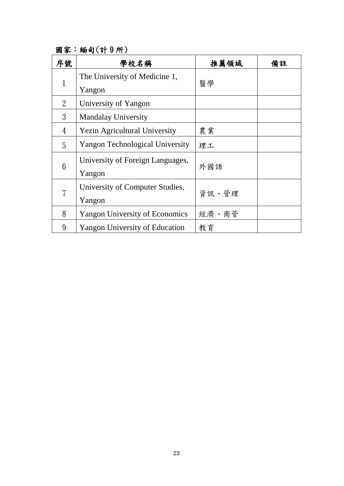國家:緬甸(計 9 所)

| 序號          | 學校名稱                                       | 推薦領域  | 備註 |
|-------------|--------------------------------------------|-------|----|
| $\mathbf 1$ | The University of Medicine 1,<br>Yangon    | 醫學    |    |
| 2           | University of Yangon                       |       |    |
| 3           | <b>Mandalay University</b>                 |       |    |
| 4           | <b>Yezin Agricultural University</b>       | 農業    |    |
| 5           | <b>Yangon Technological University</b>     | 理工    |    |
| 6           | University of Foreign Languages,<br>Yangon | 外國語   |    |
| 7           | University of Computer Studies,<br>Yangon  | 資訊、管理 |    |
| 8           | <b>Yangon University of Economics</b>      | 經濟、商管 |    |
| 9           | <b>Yangon University of Education</b>      | 教育    |    |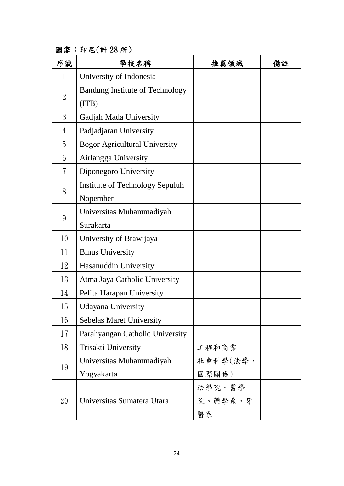國家:印尼(計 28 所)

| 序號             | 學校名稱                                   | 推薦領域     | 備註 |
|----------------|----------------------------------------|----------|----|
| 1              | University of Indonesia                |          |    |
|                | <b>Bandung Institute of Technology</b> |          |    |
| $\overline{2}$ | (TTB)                                  |          |    |
| 3              | Gadjah Mada University                 |          |    |
| 4              | Padjadjaran University                 |          |    |
| 5              | <b>Bogor Agricultural University</b>   |          |    |
| $6\phantom{1}$ | Airlangga University                   |          |    |
| 7              | Diponegoro University                  |          |    |
|                | Institute of Technology Sepuluh        |          |    |
| 8              | Nopember                               |          |    |
|                | Universitas Muhammadiyah               |          |    |
| 9              | Surakarta                              |          |    |
| 10             | University of Brawijaya                |          |    |
| 11             | <b>Binus University</b>                |          |    |
| 12             | Hasanuddin University                  |          |    |
| 13             | Atma Jaya Catholic University          |          |    |
| 14             | Pelita Harapan University              |          |    |
| 15             | <b>Udayana University</b>              |          |    |
| 16             | <b>Sebelas Maret University</b>        |          |    |
| 17             | Parahyangan Catholic University        |          |    |
| 18             | Trisakti University                    | 工程和商業    |    |
|                | Universitas Muhammadiyah               | 社會科學(法學、 |    |
| 19             | Yogyakarta                             | 國際關係)    |    |
|                |                                        | 法學院、醫學   |    |
| 20             | Universitas Sumatera Utara             | 院、藥學系、牙  |    |
|                |                                        | 醫系       |    |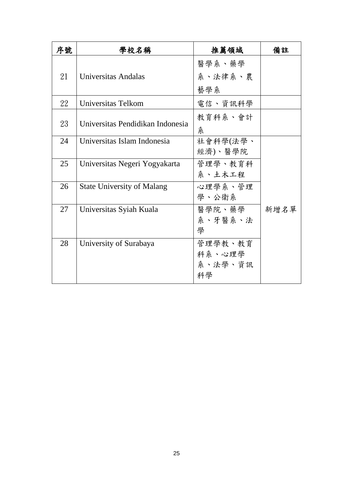| 序號 | 學校名稱                              | 推薦領域     | 備註   |
|----|-----------------------------------|----------|------|
|    |                                   | 醫學系、藥學   |      |
| 21 | Universitas Andalas               | 系、法律系、農  |      |
|    |                                   | 藝學系      |      |
| 22 | Universitas Telkom                | 電信、資訊科學  |      |
| 23 | Universitas Pendidikan Indonesia  | 教育科系、會計  |      |
|    |                                   | 糸        |      |
| 24 | Universitas Islam Indonesia       | 社會科學(法學、 |      |
|    |                                   | 經濟)、醫學院  |      |
| 25 | Universitas Negeri Yogyakarta     | 管理學、教育科  |      |
|    |                                   | 系、土木工程   |      |
| 26 | <b>State University of Malang</b> | 心理學系、管理  |      |
|    |                                   | 學、公衛系    |      |
| 27 | Universitas Syiah Kuala           | 醫學院、藥學   | 新增名單 |
|    |                                   | 系、牙醫系、法  |      |
|    |                                   | 學        |      |
| 28 | University of Surabaya            | 管理學教、教育  |      |
|    |                                   | 科系、心理學   |      |
|    |                                   | 系、法學、資訊  |      |
|    |                                   | 科學       |      |